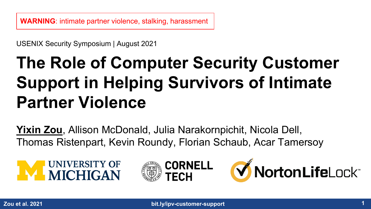USENIX Security Symposium | August 2021

# **The Role of Computer Security Customer Support in Helping Survivors of Intimate Partner Violence**

**Yixin Zou**, Allison McDonald, Julia Narakornpichit, Nicola Dell, Thomas Ristenpart, Kevin Roundy, Florian Schaub, Acar Tamersoy





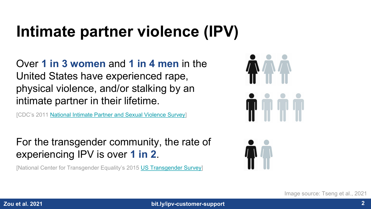## **Intimate partner violence (IPV)**

Over **1 in 3 women** and **1 in 4 men** in the United States have experienced rape, physical violence, and/or stalking by an intimate partner in their lifetime.

[CDC's 2011 [National Intimate Partner and Sexual Violence Survey](https://www.cdc.gov/violenceprevention/pdf/nisvs_report2010-a.pdf)]

For the transgender community, the rate of experiencing IPV is over **1 in 2**.

[National Center for Transgender Equality's 2015 [US Transgender Survey](https://transequality.org/sites/default/files/docs/usts/USTS-Full-Report-Dec17.pdf)]





Image source: Tseng et al., 2021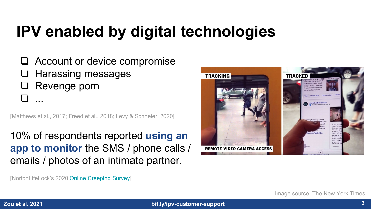# **IPV enabled by digital technologies**

❏ Account or device compromise ❏ Harassing messages ❏ Revenge porn ❏ ...

[Matthews et al., 2017; Freed et al., 2018; Levy & Schneier, 2020]

10% of respondents reported **using an app to monitor** the SMS / phone calls / emails / photos of an intimate partner.



[NortonLifeLock's 2020 [Online Creeping Survey](https://investor.nortonlifelock.com/About/Investors/press-releases/press-release-details/2020/Nearly-Half-of-Americans-Admit-to-Stalking-an-Ex-or-Current-Partner-Online/default.aspx)]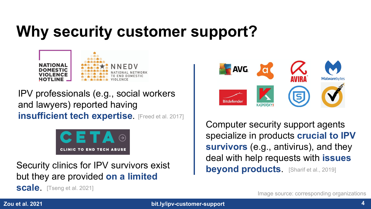## **Why security customer support?**



IPV professionals (e.g., social workers and lawyers) reported having **insufficient tech expertise**. [Freed et al. 2017]



Security clinics for IPV survivors exist but they are provided **on a limited** 

**scale**. [Tseng et al. 2021]



Computer security support agents specialize in products **crucial to IPV survivors** (e.g., antivirus), and they deal with help requests with **issues beyond products**. [Sharif et al., 2019]

Image source: corresponding organizations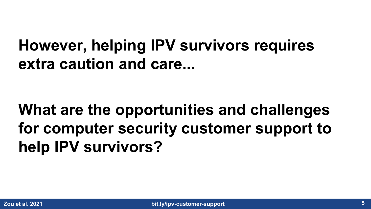### **However, helping IPV survivors requires extra caution and care...**

# **What are the opportunities and challenges for computer security customer support to help IPV survivors?**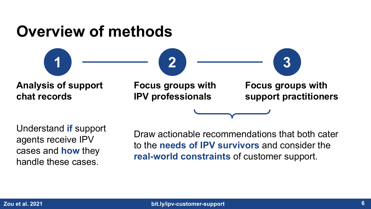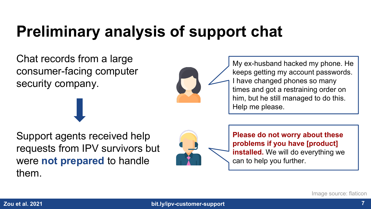## **Preliminary analysis of support chat**

Chat records from a large consumer-facing computer security company.



My ex-husband hacked my phone. He keeps getting my account passwords. I have changed phones so many times and got a restraining order on him, but he still managed to do this. Help me please.

Support agents received help requests from IPV survivors but were **not prepared** to handle them.



**Please do not worry about these problems if you have [product] installed.** We will do everything we can to help you further.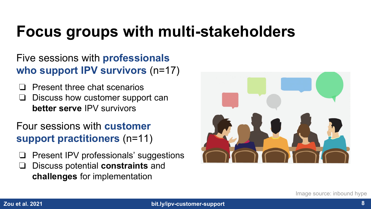## **Focus groups with multi-stakeholders**

#### Five sessions with **professionals who support IPV survivors** (n=17)

- ❏ Present three chat scenarios
- ❏ Discuss how customer support can **better serve** IPV survivors
- Four sessions with **customer support practitioners** (n=11)
- ❏ Present IPV professionals' suggestions
- ❏ Discuss potential **constraints** and **challenges** for implementation

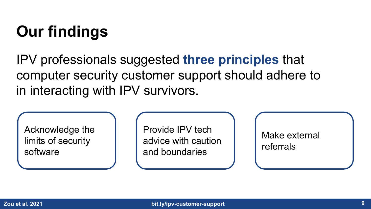# **Our findings**

IPV professionals suggested **three principles** that computer security customer support should adhere to in interacting with IPV survivors.

Acknowledge the limits of security software

Provide IPV tech advice with caution and boundaries

Make external referrals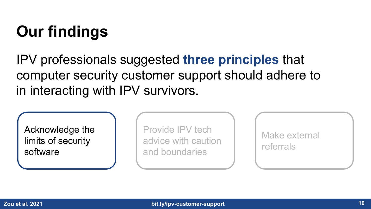# **Our findings**

IPV professionals suggested **three principles** that computer security customer support should adhere to in interacting with IPV survivors.

Acknowledge the limits of security software

Provide IPV tech advice with caution and boundaries

Make external referrals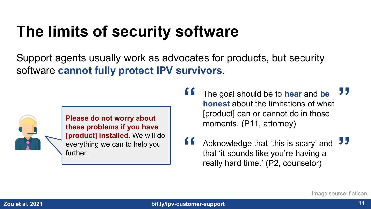## **The limits of security software**

Support agents usually work as advocates for products, but security software **cannot fully protect IPV survivors**.



**Please do not worry about these problems if you have [product] installed.** We will do everything we can to help you further.

- **"** The goal should be to **hear** and **be honest** about the limitations of what [product] can or cannot do in those moments. (P11, attorney) **"**
- **ff** Acknowledge that 'this is scary' and that 'it sounds like you're having a really hard time.' (P2, counselor) **"**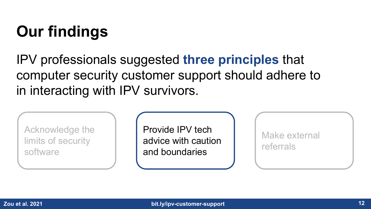# **Our findings**

IPV professionals suggested **three principles** that computer security customer support should adhere to in interacting with IPV survivors.

Acknowledge the limits of security software

Provide IPV tech advice with caution and boundaries

Make external referrals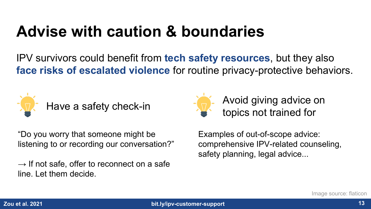### **Advise with caution & boundaries**

IPV survivors could benefit from **tech safety resources**, but they also **face risks of escalated violence** for routine privacy-protective behaviors.



"Do you worry that someone might be listening to or recording our conversation?"

 $\rightarrow$  If not safe, offer to reconnect on a safe line. Let them decide.



Avoid giving advice on topics not trained for

Examples of out-of-scope advice: comprehensive IPV-related counseling, safety planning, legal advice...

Image source: flaticon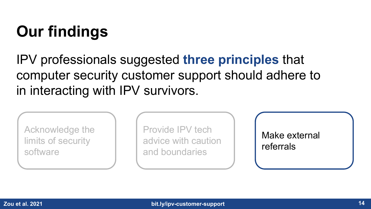# **Our findings**

IPV professionals suggested **three principles** that computer security customer support should adhere to in interacting with IPV survivors.

Acknowledge the limits of security software

Provide IPV tech advice with caution and boundaries

Make external referrals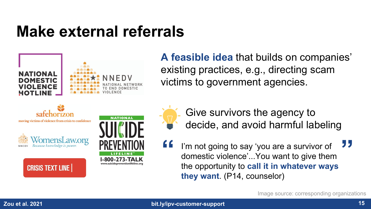#### **Make external referrals**



**A feasible idea** that builds on companies' existing practices, e.g., directing scam victims to government agencies.

- Give survivors the agency to decide, and avoid harmful labeling
- **"** I'm not going to say 'you are a survivor of domestic violence'...You want to give then domestic violence'...You want to give them the opportunity to **call it in whatever ways they want**. (P14, counselor) **"**

Image source: corresponding organizations

**CRISIS TEXT LINE**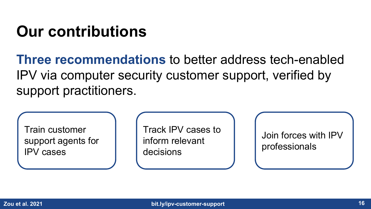### **Our contributions**

**Three recommendations** to better address tech-enabled IPV via computer security customer support, verified by support practitioners.

Train customer support agents for IPV cases

Track IPV cases to inform relevant decisions

Join forces with IPV professionals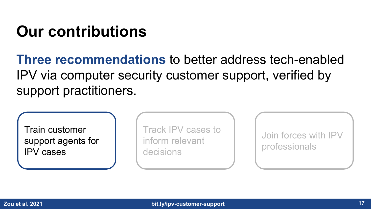### **Our contributions**

**Three recommendations** to better address tech-enabled IPV via computer security customer support, verified by support practitioners.

Train customer support agents for IPV cases

Track IPV cases to inform relevant decisions

Join forces with IPV professionals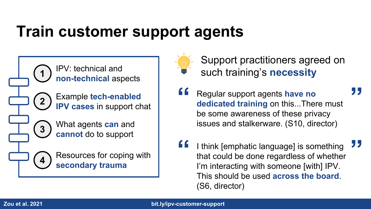#### **Train customer support agents**

**<sup>1</sup>** IPV: technical and **non-technical** aspects **2 <sup>3</sup>** What agents **can** and **cannot** do to support **<sup>4</sup>** Resources for coping with Example **tech-enabled IPV cases** in support chat

**secondary trauma**



Support practitioners agreed on such training's **necessity**

**"**

- **f f** Regular support agents **have no dedicated training** on this...There must be some awareness of these privacy issues and stalkerware. (S10, director)
- **f** I think [emphatic language] is something<br>that could be done regardless of whether that could be done regardless of whether I'm interacting with someone [with] IPV. This should be used **across the board**. (S6, director) **"**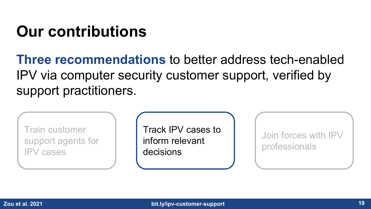### **Our contributions**

**Three recommendations** to better address tech-enabled IPV via computer security customer support, verified by support practitioners.

Train customer support agents for IPV cases

Track IPV cases to inform relevant decisions

Join forces with IPV professionals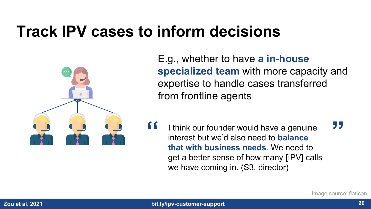#### **Track IPV cases to inform decisions**



E.g., whether to have **a in-house specialized team** with more capacity and expertise to handle cases transferred from frontline agents

**ff** I think our founder would have a genuine interest but we'd also need to **balance that with business needs**. We need to get a better sense of how many [IPV] calls we have coming in. (S3, director) **"**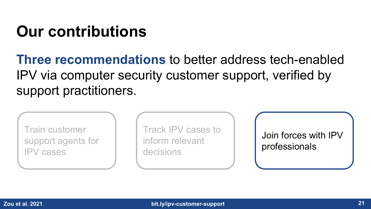### **Our contributions**

**Three recommendations** to better address tech-enabled IPV via computer security customer support, verified by support practitioners.

Train customer support agents for IPV cases

Track IPV cases to inform relevant decisions

Join forces with IPV professionals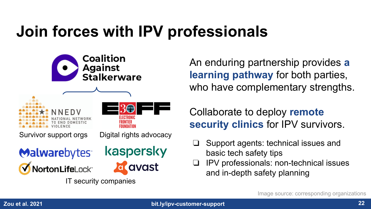# **Join forces with IPV professionals**



An enduring partnership provides **a learning pathway** for both parties, who have complementary strengths.

#### Collaborate to deploy **remote security clinics** for IPV survivors.

- ❏ Support agents: technical issues and basic tech safety tips
- ❏ IPV professionals: non-technical issues and in-depth safety planning

Image source: corresponding organizations